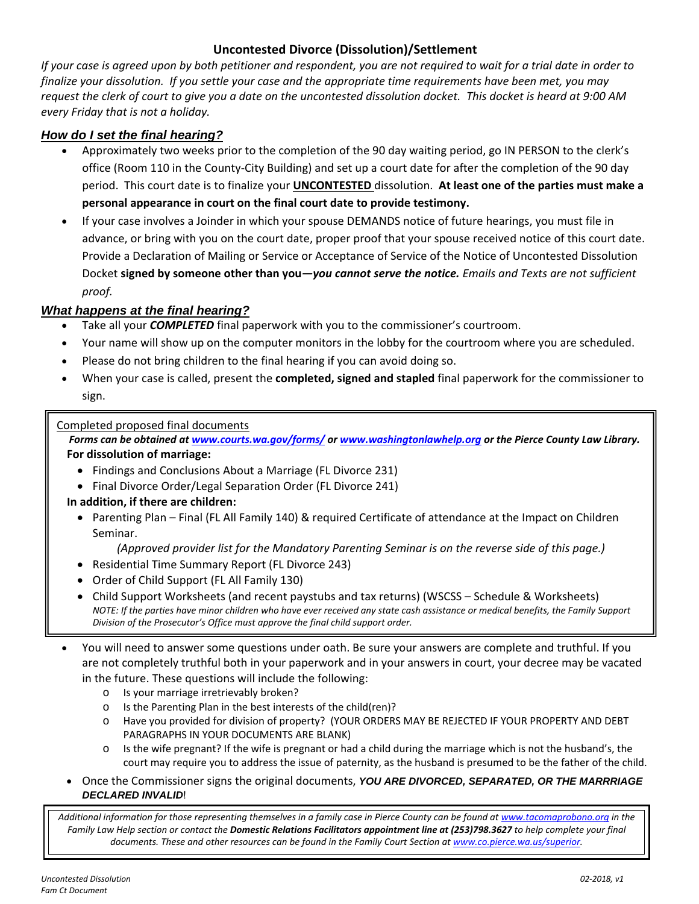# **Uncontested Divorce (Dissolution)/Settlement**

*If your case is agreed upon by both petitioner and respondent, you are not required to wait for a trial date in order to finalize your dissolution. If you settle your case and the appropriate time requirements have been met, you may request the clerk of court to give you a date on the uncontested dissolution docket. This docket is heard at 9:00 AM every Friday that is not a holiday.* 

## *How do I set the final hearing?*

- Approximately two weeks prior to the completion of the 90 day waiting period, go IN PERSON to the clerk's office (Room 110 in the County‐City Building) and set up a court date for after the completion of the 90 day period. This court date is to finalize your **UNCONTESTED** dissolution. **At least one of the parties must make a personal appearance in court on the final court date to provide testimony.**
- If your case involves a Joinder in which your spouse DEMANDS notice of future hearings, you must file in advance, or bring with you on the court date, proper proof that your spouse received notice of this court date. Provide a Declaration of Mailing or Service or Acceptance of Service of the Notice of Uncontested Dissolution Docket **signed by someone other than you***—you cannot serve the notice. Emails and Texts are not sufficient proof.*

#### *What happens at the final hearing?*

- Take all your *COMPLETED* final paperwork with you to the commissioner's courtroom.
- Your name will show up on the computer monitors in the lobby for the courtroom where you are scheduled.
- Please do not bring children to the final hearing if you can avoid doing so.
- When your case is called, present the **completed, signed and stapled** final paperwork for the commissioner to sign.

#### Completed proposed final documents

*Forms can be obtained at www.courts.wa.gov/forms/ or www.washingtonlawhelp.org or the Pierce County Law Library.*  **For dissolution of marriage:** 

- Findings and Conclusions About a Marriage (FL Divorce 231)
- Final Divorce Order/Legal Separation Order (FL Divorce 241)

#### **In addition, if there are children:**

• Parenting Plan – Final (FL All Family 140) & required Certificate of attendance at the Impact on Children Seminar.

#### *(Approved provider list for the Mandatory Parenting Seminar is on the reverse side of this page.)*

- Residential Time Summary Report (FL Divorce 243)
- Order of Child Support (FL All Family 130)
- Child Support Worksheets (and recent paystubs and tax returns) (WSCSS Schedule & Worksheets) *NOTE: If the parties have minor children who have ever received any state cash assistance or medical benefits, the Family Support Division of the Prosecutor's Office must approve the final child support order.*
- You will need to answer some questions under oath. Be sure your answers are complete and truthful. If you are not completely truthful both in your paperwork and in your answers in court, your decree may be vacated in the future. These questions will include the following:
	- o Is your marriage irretrievably broken?
	- o Is the Parenting Plan in the best interests of the child(ren)?
	- o Have you provided for division of property? (YOUR ORDERS MAY BE REJECTED IF YOUR PROPERTY AND DEBT PARAGRAPHS IN YOUR DOCUMENTS ARE BLANK)
	- o Is the wife pregnant? If the wife is pregnant or had a child during the marriage which is not the husband's, the court may require you to address the issue of paternity, as the husband is presumed to be the father of the child.
- Once the Commissioner signs the original documents, *YOU ARE DIVORCED, SEPARATED, OR THE MARRRIAGE DECLARED INVALID*!

*Additional information for those representing themselves in a family case in Pierce County can be found at www.tacomaprobono.org in the Family Law Help section or contact the Domestic Relations Facilitators appointment line at (253)798.3627 to help complete your final documents. These and other resources can be found in the Family Court Section at www.co.pierce.wa.us/superior.*